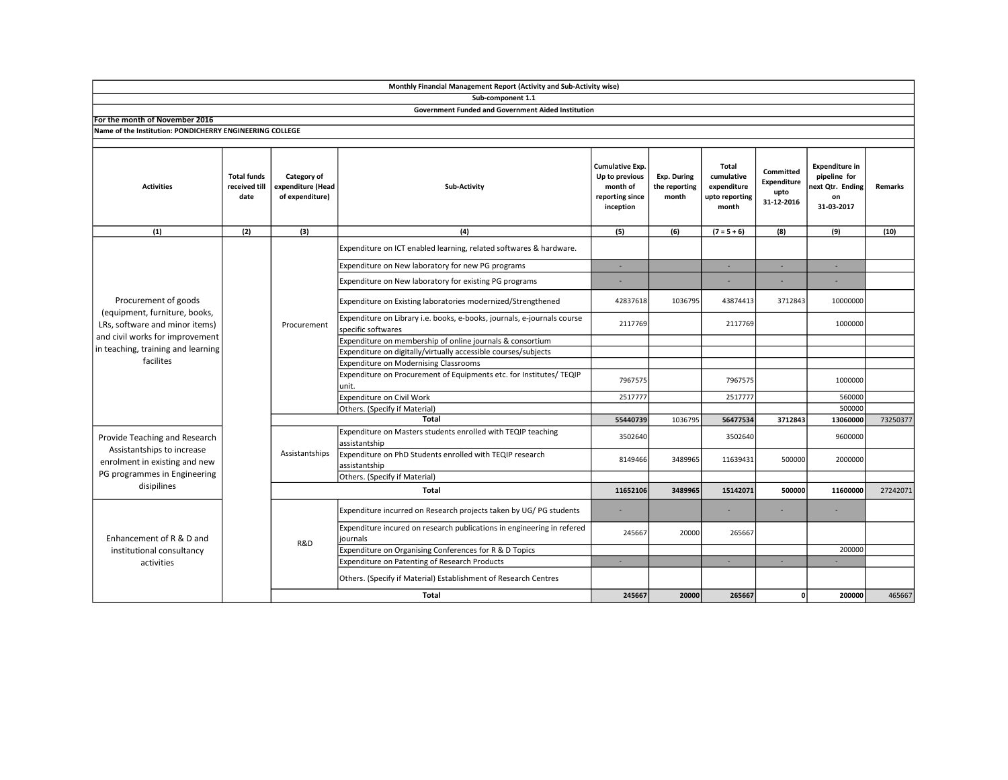|                                                                                                                                                                               |                                             |                                                     | Monthly Financial Management Report (Activity and Sub-Activity wise)                          |                                                                                      |                                              |                                                               |                                                |                                                                               |          |
|-------------------------------------------------------------------------------------------------------------------------------------------------------------------------------|---------------------------------------------|-----------------------------------------------------|-----------------------------------------------------------------------------------------------|--------------------------------------------------------------------------------------|----------------------------------------------|---------------------------------------------------------------|------------------------------------------------|-------------------------------------------------------------------------------|----------|
|                                                                                                                                                                               |                                             |                                                     | Sub-component 1.1                                                                             |                                                                                      |                                              |                                                               |                                                |                                                                               |          |
|                                                                                                                                                                               |                                             |                                                     | <b>Government Funded and Government Aided Institution</b>                                     |                                                                                      |                                              |                                                               |                                                |                                                                               |          |
| For the month of November 2016                                                                                                                                                |                                             |                                                     |                                                                                               |                                                                                      |                                              |                                                               |                                                |                                                                               |          |
| Name of the Institution: PONDICHERRY ENGINEERING COLLEGE                                                                                                                      |                                             |                                                     |                                                                                               |                                                                                      |                                              |                                                               |                                                |                                                                               |          |
| <b>Activities</b>                                                                                                                                                             | <b>Total funds</b><br>received till<br>date | Category of<br>expenditure (Head<br>of expenditure) | Sub-Activity                                                                                  | <b>Cumulative Exp.</b><br>Up to previous<br>month of<br>reporting since<br>inception | <b>Exp. During</b><br>the reporting<br>month | Total<br>cumulative<br>expenditure<br>upto reporting<br>month | Committed<br>Expenditure<br>upto<br>31-12-2016 | <b>Expenditure in</b><br>pipeline for<br>next Qtr. Ending<br>on<br>31-03-2017 | Remarks  |
| (1)                                                                                                                                                                           | (2)                                         | (3)                                                 | (4)                                                                                           | (5)                                                                                  | (6)                                          | $(7 = 5 + 6)$                                                 | (8)                                            | (9)                                                                           | (10)     |
| Procurement of goods<br>(equipment, furniture, books,<br>LRs, software and minor items)<br>and civil works for improvement<br>in teaching, training and learning<br>facilites |                                             | Procurement                                         | Expenditure on ICT enabled learning, related softwares & hardware.                            |                                                                                      |                                              |                                                               |                                                |                                                                               |          |
|                                                                                                                                                                               |                                             |                                                     | Expenditure on New laboratory for new PG programs                                             | ٠                                                                                    |                                              | ×.                                                            |                                                | ×                                                                             |          |
|                                                                                                                                                                               |                                             |                                                     | Expenditure on New laboratory for existing PG programs                                        |                                                                                      |                                              |                                                               |                                                |                                                                               |          |
|                                                                                                                                                                               |                                             |                                                     | Expenditure on Existing laboratories modernized/Strengthened                                  | 42837618                                                                             | 1036795                                      | 43874413                                                      | 3712843                                        | 10000000                                                                      |          |
|                                                                                                                                                                               |                                             |                                                     | Expenditure on Library i.e. books, e-books, journals, e-journals course<br>specific softwares | 2117769                                                                              |                                              | 2117769                                                       |                                                | 1000000                                                                       |          |
|                                                                                                                                                                               |                                             |                                                     | Expenditure on membership of online journals & consortium                                     |                                                                                      |                                              |                                                               |                                                |                                                                               |          |
|                                                                                                                                                                               |                                             |                                                     | Expenditure on digitally/virtually accessible courses/subjects                                |                                                                                      |                                              |                                                               |                                                |                                                                               |          |
|                                                                                                                                                                               |                                             |                                                     | Expenditure on Modernising Classrooms                                                         |                                                                                      |                                              |                                                               |                                                |                                                                               |          |
|                                                                                                                                                                               |                                             |                                                     | Expenditure on Procurement of Equipments etc. for Institutes/ TEQIP<br>unit.                  | 7967575                                                                              |                                              | 7967575                                                       |                                                | 1000000                                                                       |          |
|                                                                                                                                                                               |                                             |                                                     | Expenditure on Civil Work                                                                     | 2517777                                                                              |                                              | 2517777                                                       |                                                | 560000                                                                        |          |
|                                                                                                                                                                               |                                             |                                                     | Others. (Specify if Material)                                                                 |                                                                                      |                                              |                                                               |                                                | 500000                                                                        |          |
|                                                                                                                                                                               |                                             |                                                     | <b>Total</b>                                                                                  | 55440739                                                                             | 1036795                                      | 56477534                                                      | 3712843                                        | 13060000                                                                      | 73250377 |
| Provide Teaching and Research<br>Assistantships to increase<br>enrolment in existing and new<br>PG programmes in Engineering<br>disipilines                                   |                                             | Assistantships                                      | Expenditure on Masters students enrolled with TEQIP teaching<br>assistantship                 | 3502640                                                                              |                                              | 3502640                                                       |                                                | 9600000                                                                       |          |
|                                                                                                                                                                               |                                             |                                                     | Expenditure on PhD Students enrolled with TEQIP research<br>assistantship                     | 8149466                                                                              | 3489965                                      | 11639431                                                      | 500000                                         | 2000000                                                                       |          |
|                                                                                                                                                                               |                                             |                                                     | Others. (Specify if Material)                                                                 |                                                                                      |                                              |                                                               |                                                |                                                                               |          |
|                                                                                                                                                                               |                                             | Total                                               |                                                                                               |                                                                                      | 11652106<br>3489965                          | 15142071                                                      | 500000                                         | 11600000                                                                      | 27242071 |
| Enhancement of R & D and<br>institutional consultancy<br>activities                                                                                                           |                                             | R&D                                                 | Expenditure incurred on Research projects taken by UG/PG students                             | ٠                                                                                    |                                              |                                                               |                                                |                                                                               |          |
|                                                                                                                                                                               |                                             |                                                     | Expenditure incured on research publications in engineering in refered<br>journals            | 245667                                                                               | 20000                                        | 265667                                                        |                                                |                                                                               |          |
|                                                                                                                                                                               |                                             |                                                     | Expenditure on Organising Conferences for R & D Topics                                        |                                                                                      |                                              |                                                               |                                                | 200000                                                                        |          |
|                                                                                                                                                                               |                                             |                                                     | Expenditure on Patenting of Research Products                                                 | ×.                                                                                   |                                              | ×.                                                            | $\sim$                                         | . п.                                                                          |          |
|                                                                                                                                                                               |                                             |                                                     | Others. (Specify if Material) Establishment of Research Centres                               |                                                                                      |                                              |                                                               |                                                |                                                                               |          |
|                                                                                                                                                                               |                                             |                                                     | Total                                                                                         | 245667                                                                               | 20000                                        | 265667                                                        | οl                                             | 200000                                                                        | 465667   |